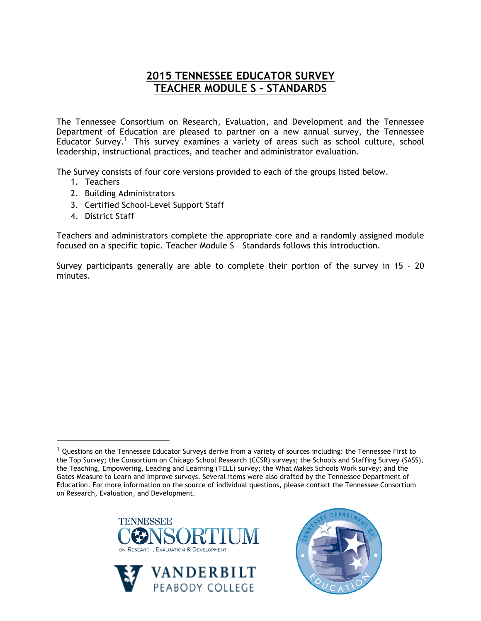## **2015 TENNESSEE EDUCATOR SURVEY TEACHER MODULE S – STANDARDS**

The Tennessee Consortium on Research, Evaluation, and Development and the Tennessee Department of Education are pleased to partner on a new annual survey, the Tennessee Educator Survey.<sup>1</sup> This survey examines a variety of areas such as school culture, school leadership, instructional practices, and teacher and administrator evaluation.

The Survey consists of four core versions provided to each of the groups listed below.

- 1. Teachers
- 2. Building Administrators
- 3. Certified School-Level Support Staff
- 4. District Staff

!!!!!!!!!!!!!!!!!!!!!!!!!!!!!!!!!!!!!!!!!!!!!!!!!!!!!!!

Teachers and administrators complete the appropriate core and a randomly assigned module focused on a specific topic. Teacher Module S – Standards follows this introduction.

Survey participants generally are able to complete their portion of the survey in 15 – 20 minutes.

 $1$  Questions on the Tennessee Educator Surveys derive from a variety of sources including: the Tennessee First to the Top Survey; the Consortium on Chicago School Research (CCSR) surveys; the Schools and Staffing Survey (SASS), the Teaching, Empowering, Leading and Learning (TELL) survey; the What Makes Schools Work survey; and the Gates Measure to Learn and Improve surveys. Several items were also drafted by the Tennessee Department of Education. For more information on the source of individual questions, please contact the Tennessee Consortium on Research, Evaluation, and Development.





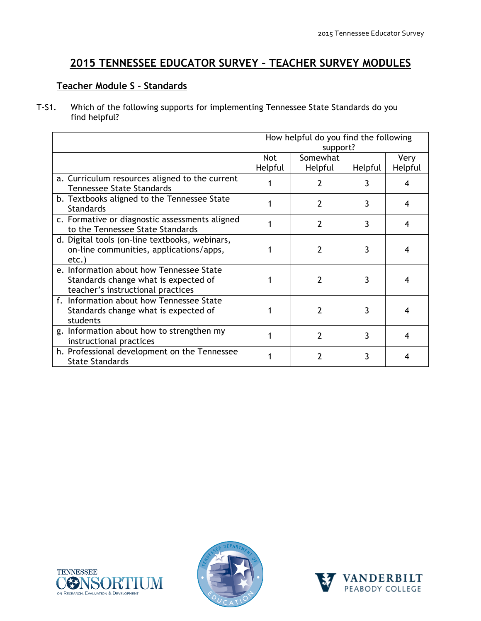## **2015 TENNESSEE EDUCATOR SURVEY – TEACHER SURVEY MODULES**

## **Teacher Module S - Standards**

T-S1. Which of the following supports for implementing Tennessee State Standards do you find helpful?

|                                                                                                                       | How helpful do you find the following<br>support? |                     |         |                 |
|-----------------------------------------------------------------------------------------------------------------------|---------------------------------------------------|---------------------|---------|-----------------|
|                                                                                                                       | Not<br>Helpful                                    | Somewhat<br>Helpful | Helpful | Very<br>Helpful |
| a. Curriculum resources aligned to the current<br><b>Tennessee State Standards</b>                                    |                                                   | 2                   | 3       | 4               |
| b. Textbooks aligned to the Tennessee State<br><b>Standards</b>                                                       |                                                   | $\mathcal{P}$       | 3       | 4               |
| c. Formative or diagnostic assessments aligned<br>to the Tennessee State Standards                                    |                                                   | $\overline{2}$      | 3       | 4               |
| d. Digital tools (on-line textbooks, webinars,<br>on-line communities, applications/apps,<br>$etc.$ )                 |                                                   | 2                   | 3       | 4               |
| e. Information about how Tennessee State<br>Standards change what is expected of<br>teacher's instructional practices |                                                   | $\mathfrak{p}$      | 3       | 4               |
| f. Information about how Tennessee State<br>Standards change what is expected of<br>students                          |                                                   | 2                   | 3       | 4               |
| g. Information about how to strengthen my<br>instructional practices                                                  |                                                   | 2                   | 3       | 4               |
| h. Professional development on the Tennessee<br><b>State Standards</b>                                                |                                                   | 7                   | 3       | 4               |